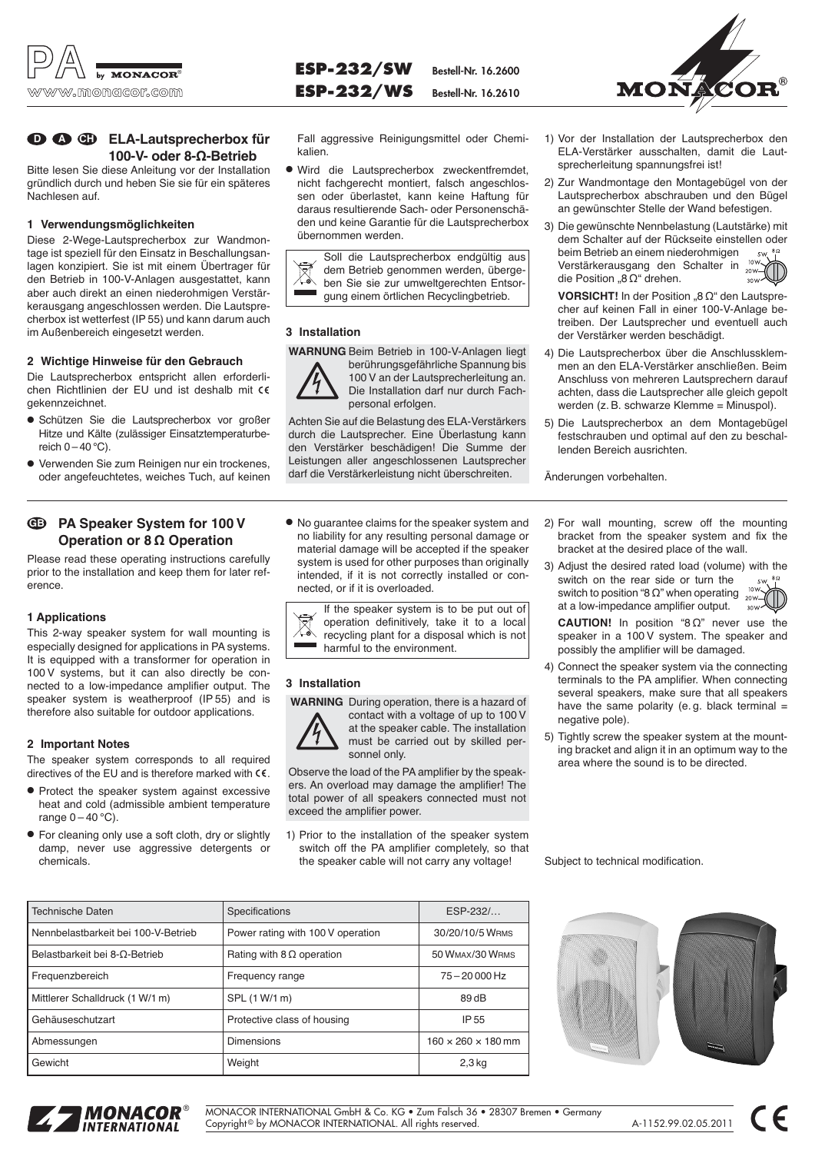

# **ELA-Lautsprecherbox für D A CH 100-V- oder 8-Ω-Betrieb**

Bitte lesen Sie diese Anleitung vor der Installation gründlich durch und heben Sie sie für ein späteres Nachlesen auf.

### **1 Verwendungsmöglichkeiten**

Diese 2-Wege-Lautsprecherbox zur Wandmontage ist speziell für den Einsatz in Beschallungsanlagen konzipiert. Sie ist mit einem Übertrager für den Betrieb in 100-V-Anlagen ausgestattet, kann aber auch direkt an einen niederohmigen Verstärkerausgang angeschlossen werden. Die Lautsprecherbox ist wetterfest (IP 55) und kann darum auch im Außenbereich eingesetzt werden.

### **2 Wichtige Hinweise für den Gebrauch**

Die Lautsprecherbox entspricht allen erforderlichen Richtlinien der EU und ist deshalb mit gekennzeichnet.

- Schützen Sie die Lautsprecherbox vor großer Hitze und Kälte (zulässiger Einsatztemperaturbereich  $0 - 40$  °C).
- Verwenden Sie zum Reinigen nur ein trockenes, oder angefeuchtetes, weiches Tuch, auf keinen

#### **PA Speaker System for 100 V Operation or 8 Ω Operation GB**

Please read these operating instructions carefully prior to the installation and keep them for later reference.

### **1 Applications**

This 2-way speaker system for wall mounting is especially designed for applications in PA systems. It is equipped with a transformer for operation in 100 V systems, but it can also directly be connected to a low-impedance amplifier output. The speaker system is weatherproof (IP 55) and is therefore also suitable for outdoor applications.

### **2 Important Notes**

The speaker system corresponds to all required directives of the EU and is therefore marked with  $\epsilon \epsilon$ .

- Protect the speaker system against excessive heat and cold (admissible ambient temperature range  $0 - 40$  °C).
- For cleaning only use a soft cloth, dry or slightly damp, never use aggressive detergents or chemicals.

Fall aggressive Reinigungsmittel oder Chemikalien.

**ESP-232/SW Bestell-Nr. 16.2600 ESP-232/ WS Bestell-Nr. 16.2610**

● Wird die Lautsprecherbox zweckentfremdet, nicht fachgerecht montiert, falsch angeschlossen oder überlastet, kann keine Haftung für daraus resultierende Sach- oder Personenschäden und keine Garantie für die Lautsprecherbox übernommen werden.

Soll die Lautsprecherbox endgültig aus dem Betrieb genommen werden, übergeben Sie sie zur umweltgerechten Entsorgung einem örtlichen Recyclingbetrieb.

# **3 Installation**

**WARNUNG** Beim Betrieb in 100-V-Anlagen liegt



berührungsgefährliche Spannung bis 100 V an der Lautsprecherleitung an. Die Installation darf nur durch Fachpersonal erfolgen.

Achten Sie auf die Belastung des ELA-Verstärkers durch die Lautsprecher. Eine Überlastung kann den Verstärker beschädigen! Die Summe der Leistungen aller angeschlossenen Lautsprecher darf die Verstärkerleistung nicht überschreiten.

● No guarantee claims for the speaker system and no liability for any resulting personal damage or material damage will be accepted if the speaker system is used for other purposes than originally intended, if it is not correctly installed or connected, or if it is overloaded.



#### **3 Installation**

**WARNING** During operation, there is a hazard of



contact with a voltage of up to 100 V at the speaker cable. The installation must be carried out by skilled personnel only.

Observe the load of the PA amplifier by the speakers. An overload may damage the amplifier! The total power of all speakers connected must not exceed the amplifier power.

1) Prior to the installation of the speaker system switch off the PA amplifier completely, so that the speaker cable will not carry any voltage!

- 1) Vor der Installation der Lautsprecherbox den ELA-Verstärker ausschalten, damit die Lautsprecherleitung spannungsfrei ist!
- 2) Zur Wandmontage den Montagebügel von der Lautsprecherbox abschrauben und den Bügel an gewünschter Stelle der Wand befestigen.
- 3) Die gewünschte Nennbelastung (Lautstärke) mit dem Schalter auf der Rückseite einstellen oder beim Betrieb an einem niederohmigen 5W,  $\frac{8}{1}$ Verstärkerausgang den Schalter in die Position "8 Ω" drehen.

**VORSICHT!** In der Position "8 Ω" den Lautsprecher auf keinen Fall in einer 100-V-Anlage be treiben. Der Lautsprecher und eventuell auch der Verstärker werden beschädigt.

- 4) Die Lautsprecherbox über die Anschlussklemmen an den ELA-Verstärker anschließen. Beim Anschluss von mehreren Lautsprechern darauf achten, dass die Lautsprecher alle gleich gepolt werden (z. B. schwarze Klemme = Minuspol).
- 5) Die Lautsprecherbox an dem Montagebügel festschrauben und optimal auf den zu beschallenden Bereich ausrichten.

Änderungen vorbehalten.

- 2) For wall mounting, screw off the mounting bracket from the speaker system and fix the bracket at the desired place of the wall.
- 3) Adjust the desired rated load (volume) with the switch on the rear side or turn the  $5W$ switch to position "8  $\Omega$ " when operating  $2011$ at a low-impedance amplifier output.

**CAUTION!** In position "8 Ω" never use the speaker in a 100 V system. The speaker and possibly the amplifier will be damaged.

- 4) Connect the speaker system via the connecting terminals to the PA amplifier. When connecting several speakers, make sure that all speakers have the same polarity (e.g. black terminal  $=$ negative pole).
- 5) Tightly screw the speaker system at the mounting bracket and align it in an optimum way to the area where the sound is to be directed.

Subject to technical modification.









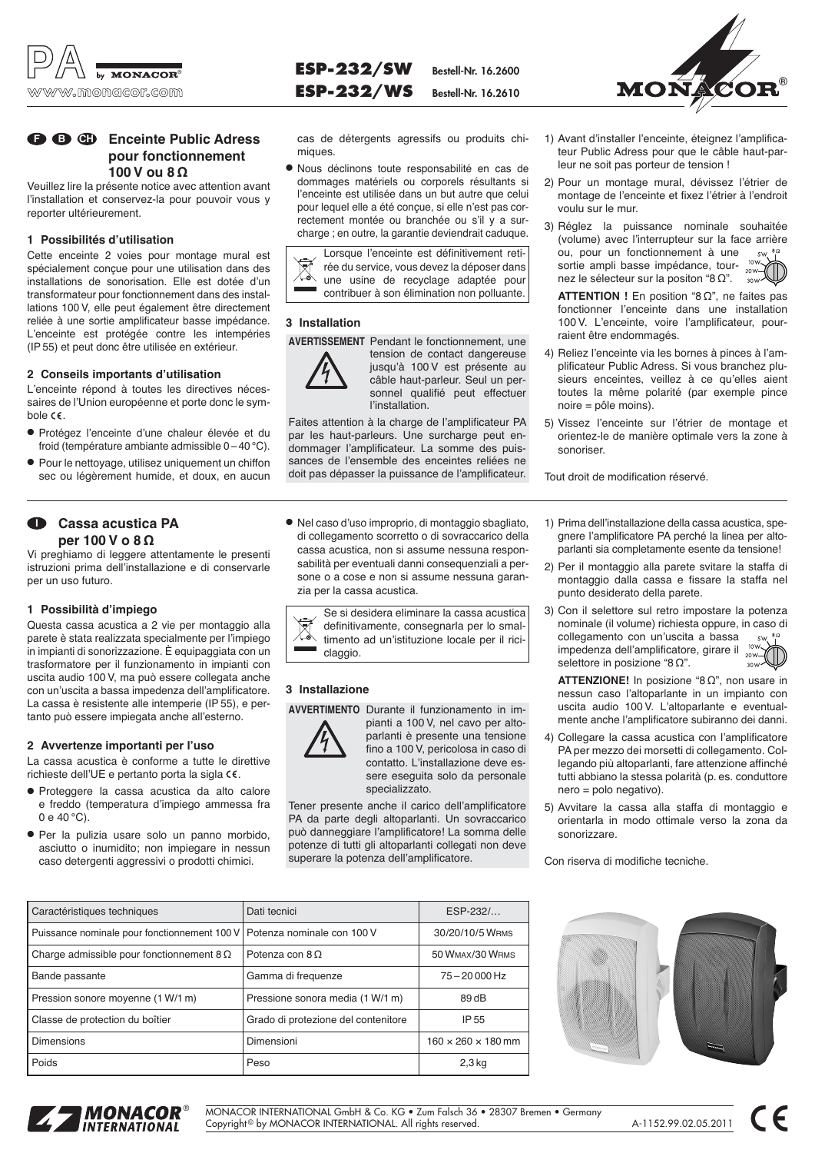

# **Example 3** Enceinte Public Adress **pour fonctionnement 100 V ou 8 Ω**

Veuillez lire la présente notice avec attention avant l'installation et conservez-la pour pouvoir vous y reporter ultérieurement.

## **1 Possibilités d'utilisation**

Cette enceinte 2 voies pour montage mural est spécialement conçue pour une utilisation dans des installations de sonorisation. Elle est dotée d'un transformateur pour fonctionnement dans des installations 100 V, elle peut également être directement reliée à une sortie amplificateur basse impédance. L'enceinte est protégée contre les intempéries (IP 55) et peut donc être utilisée en extérieur.

### **2 Conseils importants d'utilisation**

L'enceinte répond à toutes les directives nécessaires de l'Union européenne et porte donc le symbole  $\mathsf{CE}$ .

- Protégez l'enceinte d'une chaleur élevée et du froid (température ambiante admissible 0 – 40 °C).
- Pour le nettoyage, utilisez uniquement un chiffon sec ou légèrement humide, et doux, en aucun

#### **Cassa acustica PA per 100 V o 8 Ω I**

Vi preghiamo di leggere attentamente le presenti istruzioni prima dell'installazione e di conservarle per un uso futuro.

## **1 Possibilità d'impiego**

Questa cassa acustica a 2 vie per montaggio alla parete è stata realizzata specialmente per l'impiego in impianti di sonorizzazione. È equipaggiata con un trasformatore per il funzionamento in impianti con uscita audio 100 V, ma può essere collegata anche con un'uscita a bassa impedenza dell'amplificatore. La cassa è resistente alle intemperie (IP 55), e pertanto può essere impiegata anche all'esterno.

### **2 Avvertenze importanti per l'uso**

La cassa acustica è conforme a tutte le direttive richieste dell'UE e pertanto porta la sigla  $\epsilon \epsilon$ .

- Proteggere la cassa acustica da alto calore e freddo (temperatura d'impiego ammessa fra 0 e 40 °C).
- Per la pulizia usare solo un panno morbido, asciutto o inumidito; non impiegare in nessun caso detergenti aggressivi o prodotti chimici.

cas de détergents agressifs ou produits chimiques.

**ESP-232/SW Bestell-Nr. 16.2600 ESP-232/ WS Bestell-Nr. 16.2610**

● Nous déclinons toute responsabilité en cas de dommages matériels ou corporels résultants si l'enceinte est utilisée dans un but autre que celui pour lequel elle a été conçue, si elle n'est pas correctement montée ou branchée ou s'il y a surcharge ; en outre, la garantie deviendrait caduque.

Lorsque l'enceinte est définitivement retirée du service, vous devez la déposer dans une usine de recyclage adaptée pour contribuer à son élimination non polluante.

## **3 Installation**

**AVERTISSEMENT** Pendant le fonctionnement, une



tension de contact dangereuse jusqu'à 100 V est présente au câble haut-parleur. Seul un personnel qualifié peut effectuer l'installation.

Faites attention à la charge de l'amplificateur PA par les haut-parleurs. Une surcharge peut endommager l'amplificateur. La somme des puissances de l'ensemble des enceintes reliées ne doit pas dépasser la puissance de l'amplificateur.

● Nel caso d'uso improprio, di montaggio sbagliato, di collegamento scorretto o di sovraccarico della cassa acustica, non si assume nessuna responsabilità per eventuali danni consequenziali a persone o a cose e non si assume nessuna garanzia per la cassa acustica.

Se si desidera eliminare la cassa acustica definitivamente, consegnarla per lo smaltimento ad un'istituzione locale per il riciclaggio.

## **3 Installazione**



**AVVERTIMENTO** Durante il funzionamento in im pianti a 100 V, nel cavo per altoparlanti è presente una tensione fino a 100 V, pericolosa in caso di contatto. L'installazione deve essere eseguita solo da personale specializzato.

Tener presente anche il carico dell'amplificatore PA da parte degli altoparlanti. Un sovraccarico può danneggiare l'amplificatore! La somma delle potenze di tutti gli altoparlanti collegati non deve superare la potenza dell'amplificatore.

|                                                        | <b>IN VINGAVULU</b> |  |
|--------------------------------------------------------|---------------------|--|
|                                                        |                     |  |
| 1) Avant d'installer l'enceinte, éteignez l'amplifica- |                     |  |

- teur Public Adress pour que le câble haut-parleur ne soit pas porteur de tension !
- 2) Pour un montage mural, dévissez l'étrier de montage de l'enceinte et fixez l'étrier à l'endroit voulu sur le mur.
- 3) Réglez la puissance nominale souhaitée (volume) avec l'interrupteur sur la face arrière ou, pour un fonctionnement à une  $5W$   $8\Omega$ sortie ampli basse impédance, tournez le sélecteur sur la positon "8 Ω".

**ATTENTION !** En position "8 Ω", ne faites pas fonctionner l'enceinte dans une installation 100 V. L'enceinte, voire l'amplificateur, pourraient être endommagés.

- 4) Reliez l'enceinte via les bornes à pinces à l'amplificateur Public Adress. Si vous branchez plusieurs enceintes, veillez à ce qu'elles aient toutes la même polarité (par exemple pince noire = pôle moins).
- 5) Vissez l'enceinte sur l'étrier de montage et orientez-le de manière optimale vers la zone à sonoriser.

Tout droit de modification réservé.

- 1) Prima dell'installazione della cassa acustica, spegnere l'amplificatore PA perché la linea per altoparlanti sia completamente esente da tensione!
- 2) Per il montaggio alla parete svitare la staffa di montaggio dalla cassa e fissare la staffa nel punto desiderato della parete.
- 3) Con il selettore sul retro impostare la potenza nominale (il volume) richiesta oppure, in caso di collegamento con un'uscita a bassa  $5W$ impedenza dell'amplificatore, girare il  $20W - ($ selettore in posizione "8 Ω".

**ATTENZIONE!** In posizione "8 Ω", non usare in nessun caso l'altoparlante in un impianto con uscita audio 100 V. L'altoparlante e eventualmente anche l'amplificatore subiranno dei danni.

- 4) Collegare la cassa acustica con l'amplificatore PA per mezzo dei morsetti di collegamento. Collegando più altoparlanti, fare attenzione affinché tutti abbiano la stessa polarità (p. es. conduttore nero = polo negativo).
- 5) Avvitare la cassa alla staffa di montaggio e orientarla in modo ottimale verso la zona da sonorizzare.

Con riserva di modifiche tecniche.

| Caractéristiques techniques                      | Dati tecnici                        | ESP-232/                       |
|--------------------------------------------------|-------------------------------------|--------------------------------|
| Puissance nominale pour fonctionnement 100 V     | Potenza nominale con 100 V          | 30/20/10/5 WRMS                |
| Charge admissible pour fonction nement $8\Omega$ | Potenza con $8 \Omega$              | 50 WMAX/30 WRMS                |
| Bande passante                                   | Gamma di frequenze                  | $75 - 20000$ Hz                |
| Pression sonore moyenne (1 W/1 m)                | Pressione sonora media (1 W/1 m)    | 89dB                           |
| Classe de protection du boîtier                  | Grado di protezione del contenitore | IP 55                          |
| Dimensions                                       | Dimensioni                          | $160 \times 260 \times 180$ mm |
| Poids                                            | Peso                                | $2,3$ kg                       |